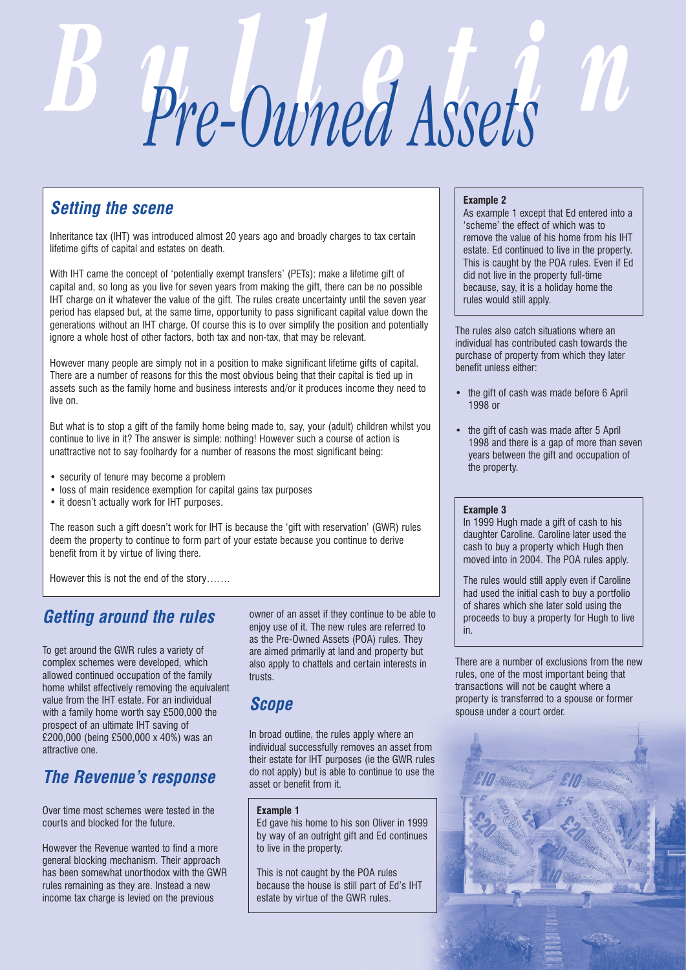# *Bulletin Pre-Owned Assets*

# *Setting the scene*

Inheritance tax (IHT) was introduced almost 20 years ago and broadly charges to tax certain lifetime gifts of capital and estates on death.

With IHT came the concept of 'potentially exempt transfers' (PETs): make a lifetime gift of capital and, so long as you live for seven years from making the gift, there can be no possible IHT charge on it whatever the value of the gift. The rules create uncertainty until the seven year period has elapsed but, at the same time, opportunity to pass significant capital value down the generations without an IHT charge. Of course this is to over simplify the position and potentially ignore a whole host of other factors, both tax and non-tax, that may be relevant.

However many people are simply not in a position to make significant lifetime gifts of capital. There are a number of reasons for this the most obvious being that their capital is tied up in assets such as the family home and business interests and/or it produces income they need to live on.

But what is to stop a gift of the family home being made to, say, your (adult) children whilst you continue to live in it? The answer is simple: nothing! However such a course of action is unattractive not to say foolhardy for a number of reasons the most significant being:

- security of tenure may become a problem
- loss of main residence exemption for capital gains tax purposes
- it doesn't actually work for IHT purposes.

The reason such a gift doesn't work for IHT is because the 'gift with reservation' (GWR) rules deem the property to continue to form part of your estate because you continue to derive benefit from it by virtue of living there.

However this is not the end of the story…….

# *Getting around the rules*

To get around the GWR rules a variety of complex schemes were developed, which allowed continued occupation of the family home whilst effectively removing the equivalent value from the IHT estate. For an individual with a family home worth say £500,000 the prospect of an ultimate IHT saving of £200,000 (being £500,000 x 40%) was an attractive one.

# *The Revenue's response*

Over time most schemes were tested in the courts and blocked for the future.

However the Revenue wanted to find a more general blocking mechanism. Their approach has been somewhat unorthodox with the GWR rules remaining as they are. Instead a new income tax charge is levied on the previous

owner of an asset if they continue to be able to enjoy use of it. The new rules are referred to as the Pre-Owned Assets (POA) rules. They are aimed primarily at land and property but also apply to chattels and certain interests in trusts.

# *Scope*

In broad outline, the rules apply where an individual successfully removes an asset from their estate for IHT purposes (ie the GWR rules do not apply) but is able to continue to use the asset or benefit from it.

#### **Example 1**

Ed gave his home to his son Oliver in 1999 by way of an outright gift and Ed continues to live in the property.

This is not caught by the POA rules because the house is still part of Ed's IHT estate by virtue of the GWR rules.

## **Example 2**

As example 1 except that Ed entered into a 'scheme' the effect of which was to remove the value of his home from his IHT estate. Ed continued to live in the property. This is caught by the POA rules. Even if Ed did not live in the property full-time because, say, it is a holiday home the rules would still apply.

The rules also catch situations where an individual has contributed cash towards the purchase of property from which they later benefit unless either:

- the gift of cash was made before 6 April 1998 or
- the gift of cash was made after 5 April 1998 and there is a gap of more than seven years between the gift and occupation of the property.

## **Example 3**

In 1999 Hugh made a gift of cash to his daughter Caroline. Caroline later used the cash to buy a property which Hugh then moved into in 2004. The POA rules apply.

The rules would still apply even if Caroline had used the initial cash to buy a portfolio of shares which she later sold using the proceeds to buy a property for Hugh to live in.

There are a number of exclusions from the new rules, one of the most important being that transactions will not be caught where a property is transferred to a spouse or former spouse under a court order.